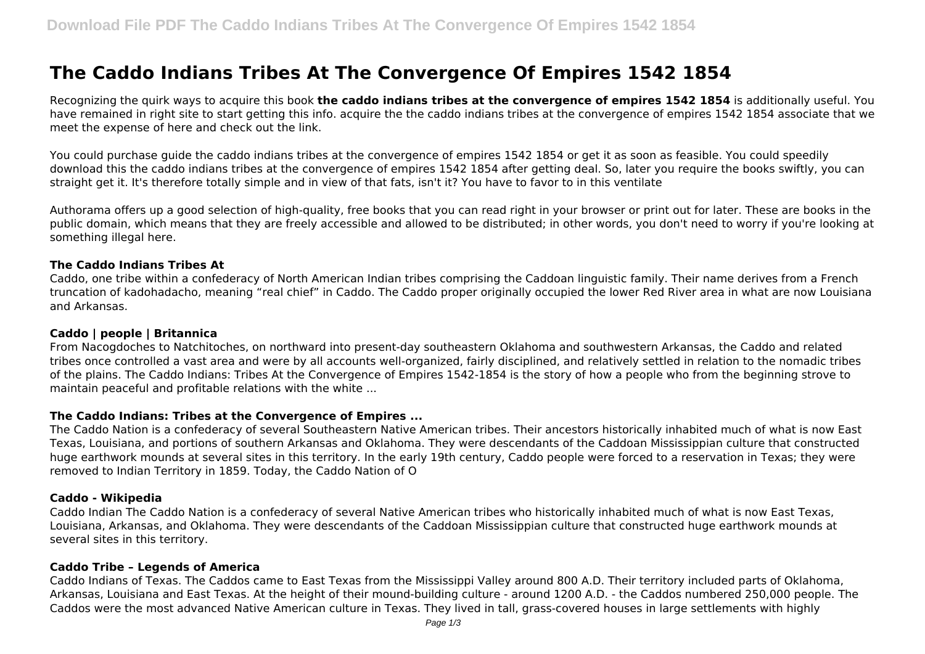# **The Caddo Indians Tribes At The Convergence Of Empires 1542 1854**

Recognizing the quirk ways to acquire this book **the caddo indians tribes at the convergence of empires 1542 1854** is additionally useful. You have remained in right site to start getting this info. acquire the the caddo indians tribes at the convergence of empires 1542 1854 associate that we meet the expense of here and check out the link.

You could purchase guide the caddo indians tribes at the convergence of empires 1542 1854 or get it as soon as feasible. You could speedily download this the caddo indians tribes at the convergence of empires 1542 1854 after getting deal. So, later you require the books swiftly, you can straight get it. It's therefore totally simple and in view of that fats, isn't it? You have to favor to in this ventilate

Authorama offers up a good selection of high-quality, free books that you can read right in your browser or print out for later. These are books in the public domain, which means that they are freely accessible and allowed to be distributed; in other words, you don't need to worry if you're looking at something illegal here.

# **The Caddo Indians Tribes At**

Caddo, one tribe within a confederacy of North American Indian tribes comprising the Caddoan linguistic family. Their name derives from a French truncation of kadohadacho, meaning "real chief" in Caddo. The Caddo proper originally occupied the lower Red River area in what are now Louisiana and Arkansas.

# **Caddo | people | Britannica**

From Nacogdoches to Natchitoches, on northward into present-day southeastern Oklahoma and southwestern Arkansas, the Caddo and related tribes once controlled a vast area and were by all accounts well-organized, fairly disciplined, and relatively settled in relation to the nomadic tribes of the plains. The Caddo Indians: Tribes At the Convergence of Empires 1542-1854 is the story of how a people who from the beginning strove to maintain peaceful and profitable relations with the white ...

# **The Caddo Indians: Tribes at the Convergence of Empires ...**

The Caddo Nation is a confederacy of several Southeastern Native American tribes. Their ancestors historically inhabited much of what is now East Texas, Louisiana, and portions of southern Arkansas and Oklahoma. They were descendants of the Caddoan Mississippian culture that constructed huge earthwork mounds at several sites in this territory. In the early 19th century, Caddo people were forced to a reservation in Texas; they were removed to Indian Territory in 1859. Today, the Caddo Nation of O

# **Caddo - Wikipedia**

Caddo Indian The Caddo Nation is a confederacy of several Native American tribes who historically inhabited much of what is now East Texas, Louisiana, Arkansas, and Oklahoma. They were descendants of the Caddoan Mississippian culture that constructed huge earthwork mounds at several sites in this territory.

# **Caddo Tribe – Legends of America**

Caddo Indians of Texas. The Caddos came to East Texas from the Mississippi Valley around 800 A.D. Their territory included parts of Oklahoma, Arkansas, Louisiana and East Texas. At the height of their mound-building culture - around 1200 A.D. - the Caddos numbered 250,000 people. The Caddos were the most advanced Native American culture in Texas. They lived in tall, grass-covered houses in large settlements with highly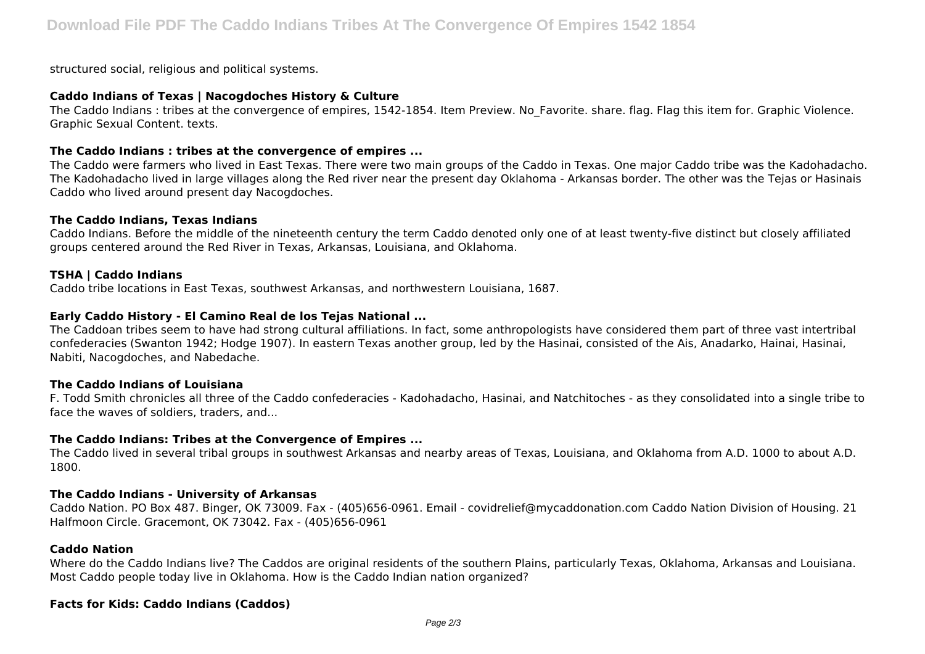structured social, religious and political systems.

# **Caddo Indians of Texas | Nacogdoches History & Culture**

The Caddo Indians: tribes at the convergence of empires, 1542-1854. Item Preview. No Favorite. share. flag. Flag this item for. Graphic Violence. Graphic Sexual Content. texts.

# **The Caddo Indians : tribes at the convergence of empires ...**

The Caddo were farmers who lived in East Texas. There were two main groups of the Caddo in Texas. One major Caddo tribe was the Kadohadacho. The Kadohadacho lived in large villages along the Red river near the present day Oklahoma - Arkansas border. The other was the Tejas or Hasinais Caddo who lived around present day Nacogdoches.

# **The Caddo Indians, Texas Indians**

Caddo Indians. Before the middle of the nineteenth century the term Caddo denoted only one of at least twenty-five distinct but closely affiliated groups centered around the Red River in Texas, Arkansas, Louisiana, and Oklahoma.

# **TSHA | Caddo Indians**

Caddo tribe locations in East Texas, southwest Arkansas, and northwestern Louisiana, 1687.

# **Early Caddo History - El Camino Real de los Tejas National ...**

The Caddoan tribes seem to have had strong cultural affiliations. In fact, some anthropologists have considered them part of three vast intertribal confederacies (Swanton 1942; Hodge 1907). In eastern Texas another group, led by the Hasinai, consisted of the Ais, Anadarko, Hainai, Hasinai, Nabiti, Nacogdoches, and Nabedache.

# **The Caddo Indians of Louisiana**

F. Todd Smith chronicles all three of the Caddo confederacies - Kadohadacho, Hasinai, and Natchitoches - as they consolidated into a single tribe to face the waves of soldiers, traders, and...

# **The Caddo Indians: Tribes at the Convergence of Empires ...**

The Caddo lived in several tribal groups in southwest Arkansas and nearby areas of Texas, Louisiana, and Oklahoma from A.D. 1000 to about A.D. 1800.

# **The Caddo Indians - University of Arkansas**

Caddo Nation. PO Box 487. Binger, OK 73009. Fax - (405)656-0961. Email - covidrelief@mycaddonation.com Caddo Nation Division of Housing. 21 Halfmoon Circle. Gracemont, OK 73042. Fax - (405)656-0961

# **Caddo Nation**

Where do the Caddo Indians live? The Caddos are original residents of the southern Plains, particularly Texas, Oklahoma, Arkansas and Louisiana. Most Caddo people today live in Oklahoma. How is the Caddo Indian nation organized?

# **Facts for Kids: Caddo Indians (Caddos)**